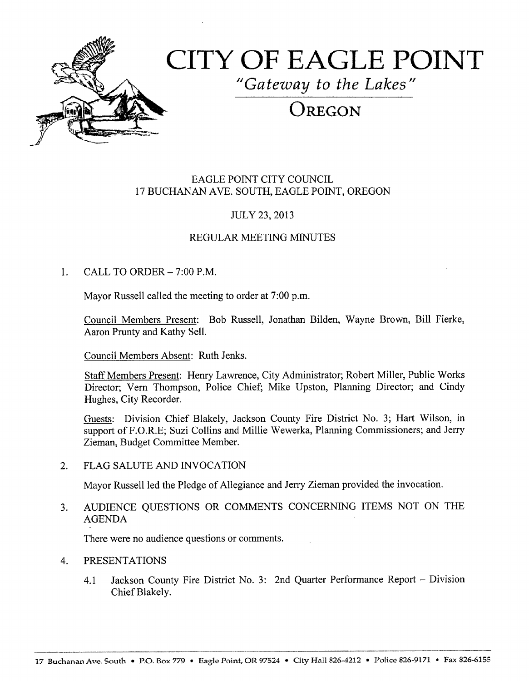

# CITY OF EAGLE POINT

Gateway to the Lakes

# $\overline{\text{Oregon}}$

#### EAGLE POINT CITY COUNCIL 17 BUCHANAN AVE. SOUTH, EAGLE POINT, OREGON

### JULY 23, 2013

#### REGULAR MEETING MINUTES

#### 1. CALL TO ORDER  $-7:00$  P.M.

Mayor Russell called the meeting to order at 7:00 p.m.

Council Members Present: Bob Russell, Jonathan Bilden, Wayne Brown, Bill Fierke, Aaron Prunty and Kathy Sell.

Council Members Absent: Ruth Jenks.

Staff Members Present: Henry Lawrence, City Administrator; Robert Miller, Public Works Director; Vern Thompson, Police Chief; Mike Upston, Planning Director; and Cindy Hughes, City Recorder.

Guests: Division Chief Blakely, Jackson County Fire District No. 3; Hart Wilson, in support of F.O.R.E; Suzi Collins and Millie Wewerka, Planning Commissioners; and Jerry Zieman, Budget Committee Member.

2. FLAG SALUTE AND INVOCATION

Mayor Russell led the Pledge of Allegiance and Jerry Zieman provided the invocation.

3. AUDIENCE QUESTIONS OR COMMENTS CONCERNING ITEMS NOT ON THE AGENDA

There were no audience questions or comments.

#### 4. PRESENTATIONS

4.1 Jackson County Fire District No. 3: 2nd Quarter Performance Report – Division Chief Blakely.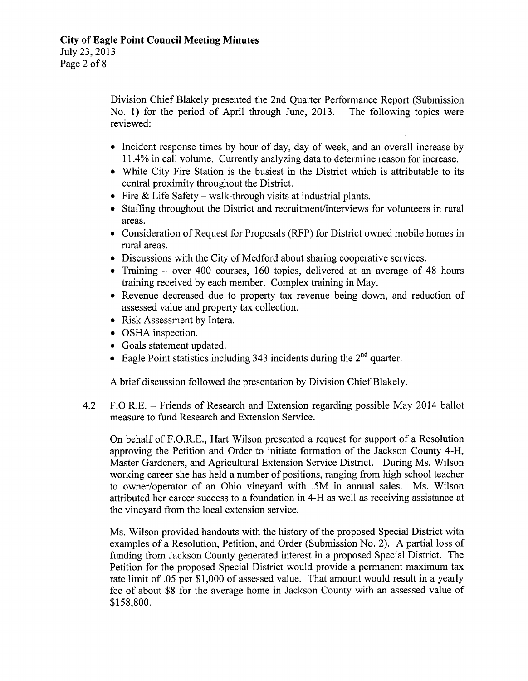Division Chief Blakely presented the 2nd Quarter Performance Report (Submission No. 1) for the period of April through June, 2013. The following topics were No. 1) for the period of April through June,  $2013$ . reviewed:

- Incident response times by hour of day, day of week, and an overall increase by 11. 4% in call volume. Currently analyzing data to determine reason for increase.
- White City Fire Station is the busiest in the District which is attributable to its central proximity throughout the District.
- Fire  $&$  Life Safety walk-through visits at industrial plants.
- Staffing throughout the District and recruitment/interviews for volunteers in rural areas.
- Consideration of Request for Proposals (RFP) for District owned mobile homes in rural areas.
- Discussions with the City of Medford about sharing cooperative services.
- Training over 400 courses, 160 topics, delivered at an average of 48 hours training received by each member. Complex training in May.
- Revenue decreased due to property tax revenue being down, and reduction of assessed value and property tax collection.
- Risk Assessment by Intera.
- OSHA inspection.
- Goals statement updated.
- Eagle Point statistics including 343 incidents during the  $2<sup>nd</sup>$  quarter.

A brief discussion followed the presentation by Division Chief Blakely.

4.2 F.O.R.E. — Friends of Research and Extension regarding possible May 2014 ballot measure to fund Research and Extension Service.

On behalf of F.O.R.E., Hart Wilson presented <sup>a</sup> request for support of <sup>a</sup> Resolution approving the Petition and Order to initiate formation of the Jackson County 4-H, Master Gardeners, and Agricultural Extension Service District. During Ms. Wilson working career she has held a number of positions, ranging from high school teacher to owner/operator of an Ohio vineyard with . 5M in annual sales. Ms. Wilson attributed her career success to a foundation in 4- H as well as receiving assistance at the vineyard from the local extension service.

Ms. Wilson provided handouts with the history of the proposed Special District with examples of a Resolution, Petition, and Order (Submission No. 2). A partial loss of funding from Jackson County generated interest in <sup>a</sup> proposed Special District. The Petition for the proposed Special District would provide a permanent maximum tax rate limit of .05 per \$1,000 of assessed value. That amount would result in a yearly fee of about \$8 for the average home in Jackson County with an assessed value of 158, 800.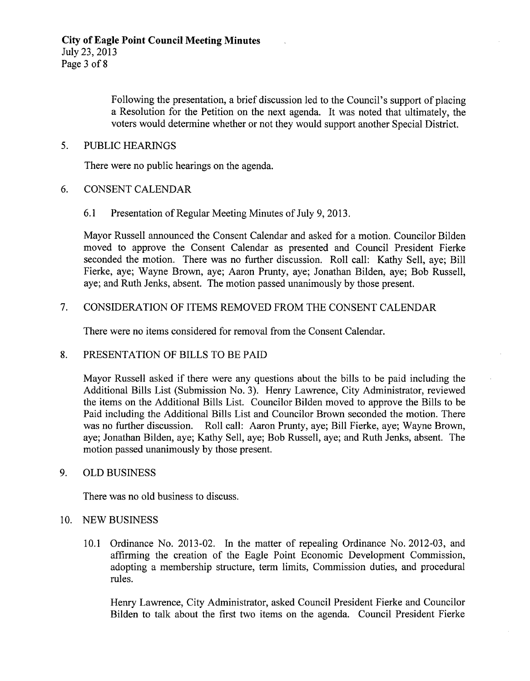Following the presentation, a brief discussion led to the Council's support of placing <sup>a</sup> Resolution for the Petition on the next agenda. It was noted that ultimately, the voters would determine whether or not they would support another Special District.

#### 5. PUBLIC HEARINGS

There were no public hearings on the agenda.

- 6. CONSENT CALENDAR
	- 6. <sup>1</sup> Presentation of Regular Meeting Minutes of July 9, 2013.

Mayor Russell announced the Consent Calendar and asked for a motion. Councilor Bilden moved to approve the Consent Calendar as presented and Council President Fierke seconded the motion. There was no further discussion. Roll call: Kathy Sell, aye; Bill Fierke, aye; Wayne Brown, aye; Aaron Prunty, aye; Jonathan Bilden, aye; Bob Russell, aye; and Ruth Jenks, absent. The motion passed unanimously by those present.

#### 7. CONSIDERATION OF ITEMS REMOVED FROM THE CONSENT CALENDAR

There were no items considered for removal from the Consent Calendar.

#### 8. PRESENTATION OF BILLS TO BE PAID

Mayor Russell asked if there were any questions about the bills to be paid including the Additional Bills List (Submission No. 3). Henry Lawrence, City Administrator, reviewed the items on the Additional Bills List. Councilor Bilden moved to approve the Bills to be Paid including the Additional Bills List and Councilor Brown seconded the motion. There was no further discussion. Roll call: Aaron Prunty, aye; Bill Fierke, aye; Wayne Brown, aye; Jonathan Bilden, aye; Kathy Sell, aye; Bob Russell, aye; and Ruth Jenks, absent. The motion passed unanimously by those present.

#### 9. OLD BUSINESS

There was no old business to discuss.

#### 10. NEW BUSINESS

10.1 Ordinance No. 2013-02. In the matter of repealing Ordinance No. 2012-03, and affirming the creation of the Eagle Point Economic Development Commission, adopting a membership structure, term limits, Commission duties, and procedural rules.

Henry Lawrence, City Administrator, asked Council President Fierke and Councilor Bilden to talk about the first two items on the agenda. Council President Fierke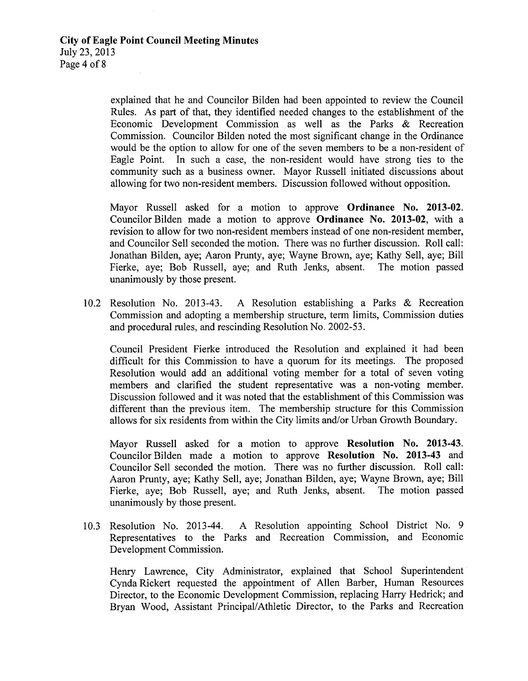explained that he and Councilor Bilden had been appointed to review the Council Rules. As part of that, they identified needed changes to the establishment of the Economic Development Commission as well as the Parks & Recreation Commission. Councilor Bilden noted the most significant change in the Ordinance would be the option to allow for one of the seven members to be a non-resident of Eagle Point. In such <sup>a</sup> case, the non-resident would have strong ties to the community such as <sup>a</sup> business owner. Mayor Russell initiated discussions about allowing for two non-resident members. Discussion followed without opposition.

Mayor Russell asked for a motion to approve **Ordinance No. 2013-02**. Councilor Bilden made a motion to approve Ordinance No. 2013-02, with a revision to allow for two non-resident members instead of one non-resident member, and Councilor Sell seconded the motion. There was no further discussion. Roll call: Jonathan Bilden, aye; Aaron Prunty, aye; Wayne Brown, aye; Kathy Sell, aye; Bill Fierke, aye; Bob Russell, aye; and Ruth Jenks, absent. unanimously by those present.

10.2 Resolution No. 2013-43. A Resolution establishing a Parks & Recreation Commission and adopting a membership structure, term limits, Commission duties and procedural rules, and rescinding Resolution No. 2002-53.

Council President Fierke introduced the Resolution and explained it had been difficult for this Commission to have a quorum for its meetings. The proposed Resolution would add an additional voting member for a total of seven voting members and clarified the student representative was a non-voting member. Discussion followed and it was noted that the establishment of this Commission was different than the previous item. The membership structure for this Commission allows for six residents from within the City limits and/or Urban Growth Boundary.

Mayor Russell asked for a motion to approve Resolution No. 2013-43. Councilor Bilden made a motion to approve Resolution No. 2013-43 and Councilor Sell seconded the motion. There was no further discussion. Roll call: Aaron Prunty, aye; Kathy Sell, aye; Jonathan Bilden, aye; Wayne Brown, aye; Bill Fierke, aye; Bob Russell, aye; and Ruth Jenks, absent. The motion passed unanimously by those present.

10.3 Resolution No. 2013-44. A Resolution appointing School District No. 9 Representatives to the Parks and Recreation Commission, and Economic Development Commission.

Henry Lawrence, City Administrator, explained that School Superintendent Cynda Rickert requested the appointment of Allen Barber, Human Resources Director, to the Economic Development Commission, replacing Harry Hedrick; and Bryan Wood, Assistant Principal/Athletic Director, to the Parks and Recreation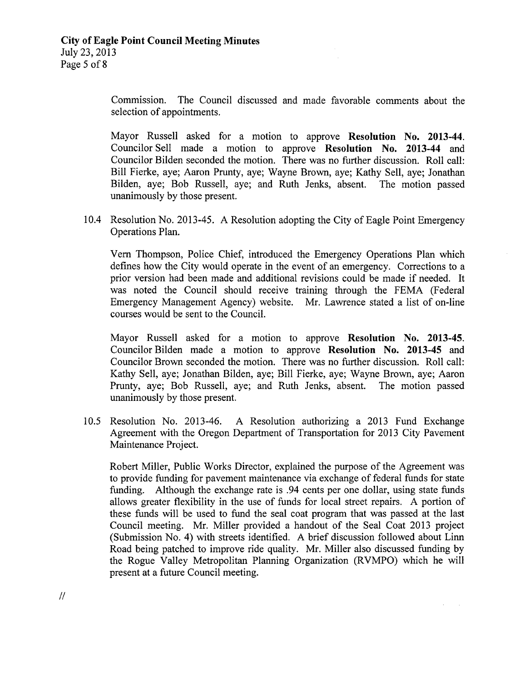Commission. The Council discussed and made favorable comments about the selection of appointments.

Mayor Russell asked for <sup>a</sup> motion to approve Resolution No. 2013-44. Councilor Sell made a motion to approve Resolution No. 2013-44 and Councilor Bilden seconded the motion. There was no further discussion. Roll call: Bill Fierke, aye; Aaron Prunty, aye; Wayne Brown, aye; Kathy Sell, aye; Jonathan Bilden, aye; Bob Russell, aye; and Ruth Jenks, absent. The motion passed unanimously by those present.

10.4 Resolution No. 2013-45. A Resolution adopting the City of Eagle Point Emergency Operations Plan.

Vern Thompson, Police Chief, introduced the Emergency Operations Plan which defines how the City would operate in the event of an emergency. Corrections to <sup>a</sup> prior version had been made and additional revisions could be made if needed. It was noted the Council should receive training through the FEMA (Federal Emergency Management Agency) website. Mr. Lawrence stated a list of on-line courses would be sent to the Council.

Mayor Russell asked for a motion to approve Resolution No. 2013-45. Councilor Bilden made a motion to approve Resolution No. 2013-45 and Councilor Brown seconded the motion. There was no further discussion. Roll call: Kathy Sell, aye; Jonathan Bilden, aye; Bill Fierke, aye; Wayne Brown, aye; Aaron Prunty, aye; Bob Russell, aye; and Ruth Jenks, absent. The motion passed unanimously by those present.

10.5 Resolution No. 2013-46. A Resolution authorizing a 2013 Fund Exchange Agreement with the Oregon Department of Transportation for 2013 City Pavement Maintenance Project.

Robert Miller, Public Works Director, explained the purpose of the Agreement was to provide funding for pavement maintenance via exchange of federal funds for state funding. Although the exchange rate is . 94 cents per one dollar, using state funds allows greater flexibility in the use of funds for local street repairs. A portion of these funds will be used to fund the seal coat program that was passed at the last Council meeting. Mr. Miller provided <sup>a</sup> handout of the Seal Coat <sup>2013</sup> project Submission No. 4) with streets identified. A brief discussion followed about Linn Road being patched to improve ride quality. Mr. Miller also discussed funding by the Rogue Valley Metropolitan Planning Organization (RVMPO) which he will present at a future Council meeting.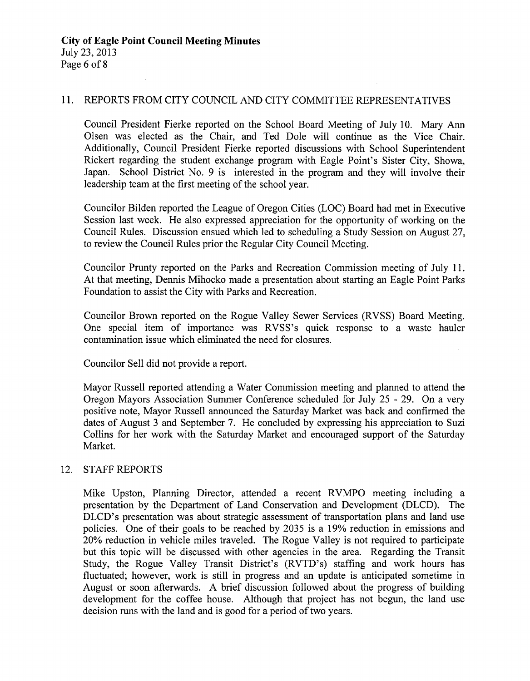#### 11. REPORTS FROM CITY COUNCIL AND CITY COMMITTEE REPRESENTATIVES

Council President Fierke reported on the School Board Meeting of July 10. Mary Ann Olsen was elected as the Chair, and Ted Dole will continue as the Vice Chair. Additionally, Council President Fierke reported discussions with School Superintendent Rickert regarding the student exchange program with Eagle Point's Sister City, Showa, Japan. School District No. 9 is interested in the program and they will involve their leadership team at the first meeting of the school year.

Councilor Bilden reported the League of Oregon Cities (LOC) Board had met in Executive Session last week. He also expressed appreciation for the opportunity of working on the Council Rules. Discussion ensued which led to scheduling <sup>a</sup> Study Session on August 27, to review the Council Rules prior the Regular City Council Meeting.

Councilor Prunty reported on the Parks and Recreation Commission meeting of July 11. At that meeting, Dennis Mihocko made a presentation about starting an Eagle Point Parks Foundation to assist the City with Parks and Recreation.

Councilor Brown reported on the Rogue Valley Sewer Services (RVSS) Board Meeting. One special item of importance was RVSS's quick response to a waste hauler contamination issue which eliminated the need for closures.

Councilor Sell did not provide a report.

Mayor Russell reported attending a Water Commission meeting and planned to attend the Oregon Mayors Association Summer Conference scheduled for July 25 - 29. On <sup>a</sup> very positive note, Mayor Russell announced the Saturday Market was back and confirmed the dates of August <sup>3</sup> and September 7. He concluded by expressing his appreciation to Suzi Collins for her work with the Saturday Market and encouraged support of the Saturday Market.

#### 12. STAFF REPORTS

Mike Upston, Planning Director, attended <sup>a</sup> recent RVMPO meeting including <sup>a</sup> presentation by the Department of Land Conservation and Development (DLCD). The DLCD's presentation was about strategic assessment of transportation plans and land use policies. One of their goals to be reached by <sup>2035</sup> is <sup>a</sup> 19% reduction in emissions and 20% reduction in vehicle miles traveled. The Rogue Valley is not required to participate but this topic will be discussed with other agencies in the area. Regarding the Transit Study, the Rogue Valley Transit District's (RVTD's) staffing and work hours has fluctuated; however, work is still in progress and an update is anticipated sometime in August or soon afterwards. A brief discussion followed about the progress of building development for the coffee house. Although that project has not begun, the land use decision runs with the land and is good for a period of two years.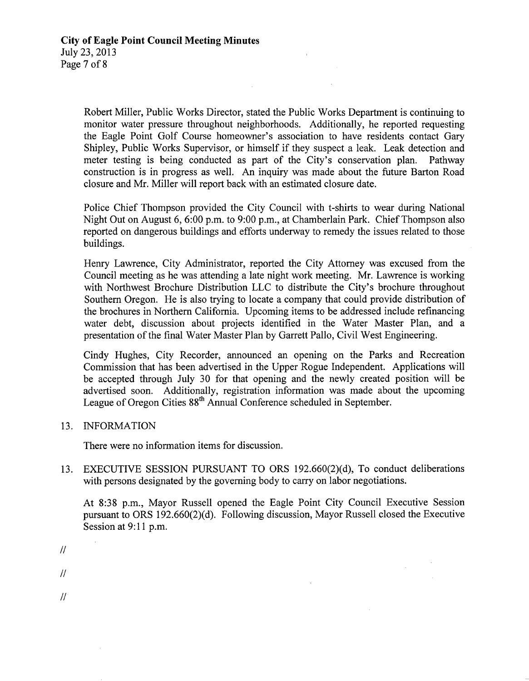Robert Miller, Public Works Director, stated the Public Works Department is continuing to monitor water pressure throughout neighborhoods. Additionally, he reported requesting the Eagle Point Golf Course homeowner's association to have residents contact Gary Shipley, Public Works Supervisor, or himself if they suspect a leak. Leak detection and meter testing is being conducted as part of the City's conservation plan. Pathway meter testing is being conducted as part of the City's conservation plan. construction is in progress as well. An inquiry was made about the future Barton Road closure and Mr. Miller will report back with an estimated closure date.

Police Chief Thompson provided the City Council with t-shirts to wear during National Night Out on August 6, 6:00 p.m. to 9:00 p.m., at Chamberlain Park. Chief Thompson also reported on dangerous buildings and efforts underway to remedy the issues related to those buildings.

Henry Lawrence, City Administrator, reported the City Attorney was excused from the Council meeting as he was attending <sup>a</sup> late night work meeting. Mr. Lawrence is working with Northwest Brochure Distribution LLC to distribute the City's brochure throughout Southern Oregon. He is also trying to locate <sup>a</sup> company that could provide distribution of the brochures in Northern California. Upcoming items to be addressed include refinancing water debt, discussion about projects identified in the Water Master Plan, and a presentation of the final Water Master Plan by Garrett Pallo, Civil West Engineering.

Cindy Hughes, City Recorder, announced an opening on the Parks and Recreation Commission that has been advertised in the Upper Rogue Independent. Applications will be accepted through July 30 for that opening and the newly created position will be advertised soon. Additionally, registration information was made about the upcoming League of Oregon Cities 88<sup>th</sup> Annual Conference scheduled in September.

13. INFORMATION

There were no information items for discussion.

13. EXECUTIVE SESSION PURSUANT TO ORS 192.660(2)(d), To conduct deliberations with persons designated by the governing body to carry on labor negotiations.

At 8:38 p.m., Mayor Russell opened the Eagle Point City Council Executive Session pursuant to ORS 192.660(2)(d). Following discussion, Mayor Russell closed the Executive Session at 9:11 p.m.

 $\mathcal{L}_{\rm{max}}$ 

- $\overline{H}$
- $\mu$
- 
- $\mathcal{U}$